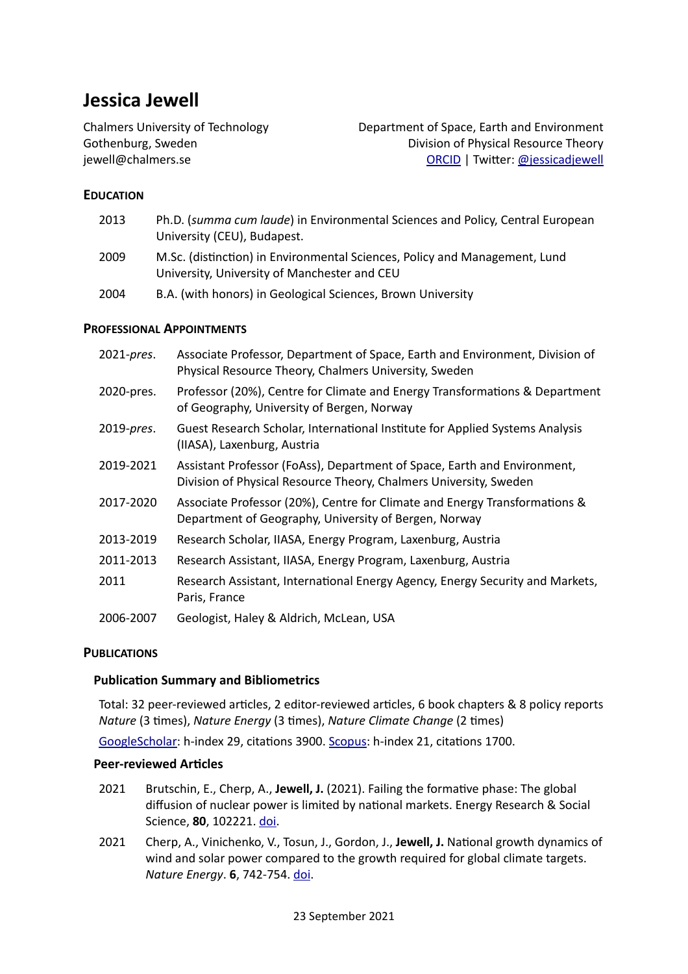# **Jessica Jewell**

Chalmers University of Technology Department of Space, Earth and Environment Gothenburg, Sweden **Division** of Physical Resource Theory [jewell@](mailto:jewell@chalmers.se)chalmers.se [ORCID](http://orcid.org/0000-0003-2846-9081) | TwiGer: [@jessicadjewell](https://twitter.com/jessicadjewell) 

# **EDUCATION**

| 2013 | Ph.D. (summa cum laude) in Environmental Sciences and Policy, Central European<br>University (CEU), Budapest.              |
|------|----------------------------------------------------------------------------------------------------------------------------|
| 2009 | M.Sc. (distinction) in Environmental Sciences, Policy and Management, Lund<br>University, University of Manchester and CEU |

2004 B.A. (with honors) in Geological Sciences, Brown University

# **PROFESSIONAL APPOINTMENTS**

| 2021-pres. | Associate Professor, Department of Space, Earth and Environment, Division of<br>Physical Resource Theory, Chalmers University, Sweden         |
|------------|-----------------------------------------------------------------------------------------------------------------------------------------------|
| 2020-pres. | Professor (20%), Centre for Climate and Energy Transformations & Department<br>of Geography, University of Bergen, Norway                     |
| 2019-pres. | Guest Research Scholar, International Institute for Applied Systems Analysis<br>(IIASA), Laxenburg, Austria                                   |
| 2019-2021  | Assistant Professor (FoAss), Department of Space, Earth and Environment,<br>Division of Physical Resource Theory, Chalmers University, Sweden |
| 2017-2020  | Associate Professor (20%), Centre for Climate and Energy Transformations &<br>Department of Geography, University of Bergen, Norway           |
| 2013-2019  | Research Scholar, IIASA, Energy Program, Laxenburg, Austria                                                                                   |
| 2011-2013  | Research Assistant, IIASA, Energy Program, Laxenburg, Austria                                                                                 |
| 2011       | Research Assistant, International Energy Agency, Energy Security and Markets,<br>Paris, France                                                |
| 2006-2007  | Geologist, Haley & Aldrich, McLean, USA                                                                                                       |

## **PUBLICATIONS**

## **Publication Summary and Bibliometrics**

Total: 32 peer-reviewed articles, 2 editor-reviewed articles, 6 book chapters & 8 policy reports *Nature* (3 times), *Nature Energy* (3 times), *Nature Climate Change* (2 times)

[GoogleScholar](https://scholar.google.at/citations?user=cJiOhacAAAAJ&hl=en): h-index 29, citations 3900. Scopus: h-index 21, citations 1700.

## **Peer-reviewed Articles**

- 2021 Brutschin, E., Cherp, A., **Jewell, J.** (2021). Failing the formative phase: The global diffusion of nuclear power is limited by national markets. Energy Research & Social Science, **80**, 102221. doi.
- 2021 Cherp, A., Vinichenko, V., Tosun, J., Gordon, J., Jewell, J. National growth dynamics of wind and solar power compared to the growth required for global climate targets. *Nature Energy.* **6**, 742-754. [doi.](https://www.nature.com/articles/s41560-021-00863-0)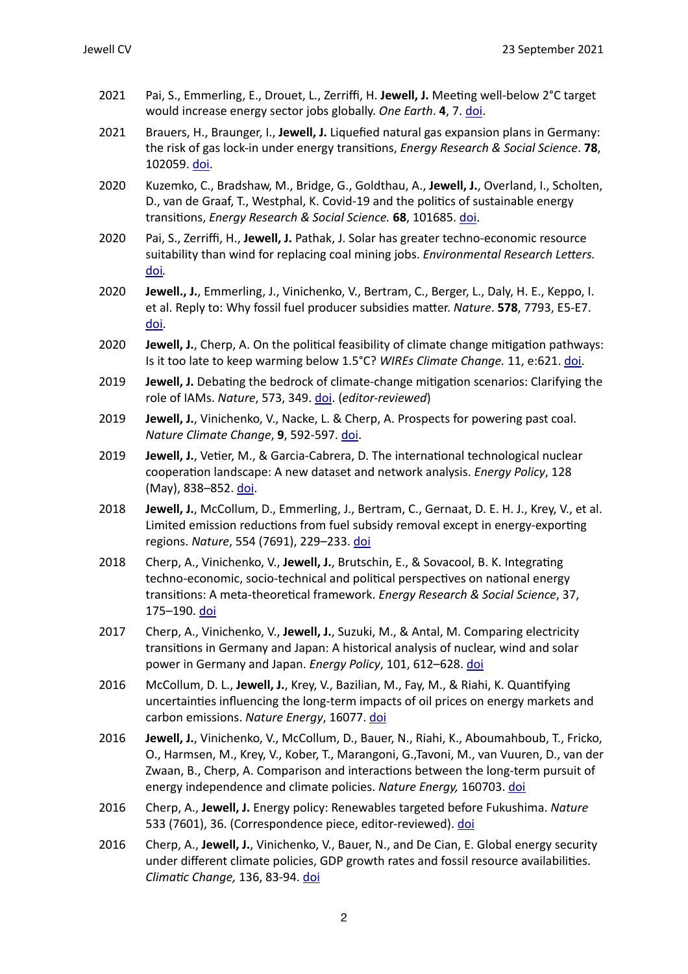- 2021 Pai, S., Emmerling, E., Drouet, L., Zerriffi, H. Jewell, J. Meeting well-below 2°C target would increase energy sector jobs globally. One Earth. 4, 7. doi.
- 2021 Brauers, H., Braunger, I., **Jewell, J.** Liquefied natural gas expansion plans in Germany: the risk of gas lock-in under energy transitions, *Energy Research & Social Science*. **78**, 102059. doi.
- 2020 Kuzemko, C., Bradshaw, M., Bridge, G., Goldthau, A., Jewell, J., Overland, I., Scholten, D., van de Graaf, T., Westphal, K. Covid-19 and the politics of sustainable energy transitions, *Energy Research & Social Science*. **68**, 101685. doi.
- 2020 Pai, S., Zerriffi, H., Jewell, J. Pathak, J. Solar has greater techno-economic resource suitability than wind for replacing coal mining jobs. *Environmental Research Letters.* [doi](https://iopscience.iop.org/article/10.1088/1748-9326/ab6c6d)*.*
- 2020 **Jewell., J.**, Emmerling, J., Vinichenko, V., Bertram, C., Berger, L., Daly, H. E., Keppo, I. et al. Reply to: Why fossil fuel producer subsidies matter. *Nature*. **578**, 7793, E5-E7. [doi.](https://www.nature.com/articles/s41586-019-1921-9)
- 2020 **Jewell, J.**, Cherp, A. On the political feasibility of climate change mitigation pathways: Is it too late to keep warming below 1.5°C? *WIREs Climate Change.* 11, e:621. [doi.](https://onlinelibrary.wiley.com/doi/full/10.1002/wcc.621)
- 2019 **Jewell, J.** Debating the bedrock of climate-change mitigation scenarios: Clarifying the role of IAMs. *Nature*, 573, 349. doi. (*editor-reviewed*)
- 2019 **Jewell, J.**, Vinichenko, V., Nacke, L. & Cherp, A. Prospects for powering past coal. *Nature Climate Change*, 9, 592-597. doi.
- 2019 **Jewell, J.**, Vetier, M., & Garcia-Cabrera, D. The international technological nuclear cooperation landscape: A new dataset and network analysis. *Energy Policy*, 128 (May), 838-852. [doi.](https://doi.org/10.1016/j.enpol.2018.12.024)
- 2018 **Jewell, J.**, McCollum, D., Emmerling, J., Bertram, C., Gernaat, D. E. H. J., Krey, V., et al. Limited emission reductions from fuel subsidy removal except in energy-exporting regions. *Nature*, 554 (7691), 229–233. [doi](http://doi.org/10.1038/nature25467)
- 2018 Cherp, A., Vinichenko, V., **Jewell, J.**, Brutschin, E., & Sovacool, B. K. Integrating techno-economic, socio-technical and political perspectives on national energy transitions: A meta-theoretical framework. *Energy Research & Social Science*, 37, 175–190. [doi](http://doi.org/10.1016/j.erss.2017.09.015)
- 2017 Cherp, A., Vinichenko, V., **Jewell, J.**, Suzuki, M., & Antal, M. Comparing electricity transitions in Germany and Japan: A historical analysis of nuclear, wind and solar power in Germany and Japan. *Energy Policy*, 101, 612–628. [doi](http://doi.org/10.1016/j.enpol.2016.10.044)
- 2016 McCollum, D. L., **Jewell, J.**, Krey, V., Bazilian, M., Fay, M., & Riahi, K. Quantifying uncertainties influencing the long-term impacts of oil prices on energy markets and carbon emissions. Nature Energy, 16077. doi
- 2016 **Jewell, J.**, Vinichenko, V., McCollum, D., Bauer, N., Riahi, K., Aboumahboub, T., Fricko, O., Harmsen, M., Krey, V., Kober, T., Marangoni, G.,Tavoni, M., van Vuuren, D., van der Zwaan, B., Cherp, A. Comparison and interactions between the long-term pursuit of energy independence and climate policies. *Nature Energy*, 160703. [doi](http://dx.doi.org/10.1038/nenergy.2016.73)
- 2016 Cherp, A., **Jewell, J.** Energy policy: Renewables targeted before Fukushima. *Nature* 533 (7601), 36. (Correspondence piece, editor-reviewed). [doi](http://www.nature.com/nature/journal/v533/n7601/full/533036b.html)
- 2016 Cherp, A., **Jewell, J.**, Vinichenko, V., Bauer, N., and De Cian, E. Global energy security under different climate policies, GDP growth rates and fossil resource availabilities. *Climatic Change,* 136, 83-94. [doi](http://dx.doi.org/10.1007/s10584-013-0950-x)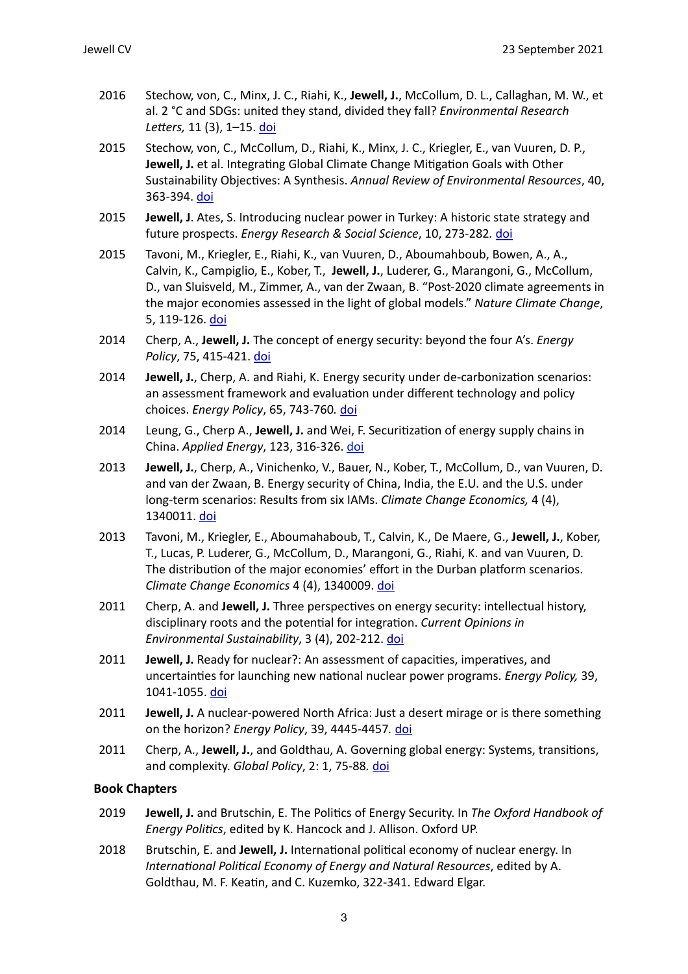- 2016 Stechow, von, C., Minx, J. C., Riahi, K., Jewell, J., McCollum, D. L., Callaghan, M. W., et al. 2 °C and SDGs: united they stand, divided they fall? *Environmental Research* Letters, 11 (3), 1-15. doi
- 2015 Stechow, von, C., McCollum, D., Riahi, K., Minx, J. C., Kriegler, E., van Vuuren, D. P., **Jewell, J.** et al. Integrating Global Climate Change Mitigation Goals with Other Sustainability Objectives: A Synthesis. *Annual Review of Environmental Resources*, 40, 363-394. [doi](http://www.annualreviews.org/doi/abs/10.1146/annurev-environ-021113-095626)
- **2015 Jewell, J.** Ates, S. Introducing nuclear power in Turkey: A historic state strategy and future prospects. *Energy Research & Social Science*, 10, 273-282. *[doi](http://dx.doi.org/10.1016/j.erss.2015.07.011)*
- 2015 Tavoni, M., Kriegler, E., Riahi, K., van Vuuren, D., Aboumahboub, Bowen, A., A., Calvin, K., Campiglio, E., Kober, T., Jewell, J., Luderer, G., Marangoni, G., McCollum, D., van Sluisveld, M., Zimmer, A., van der Zwaan, B. "Post-2020 climate agreements in the major economies assessed in the light of global models." Nature Climate Change, 5, 119-126. [doi](http://www.nature.com/nclimate/journal/vaop/ncurrent/full/nclimate2475.html)
- 2014 Cherp, A., **Jewell, J.** The concept of energy security: beyond the four A's. *Energy Policy*, 75, 415-421. [doi](http://www.apple.com)
- 2014 **Jewell, J.**, Cherp, A. and Riahi, K. Energy security under de-carbonization scenarios: an assessment framework and evaluation under different technology and policy choices. *Energy Policy*, 65, 743-760*.* [doi](http://dx.doi.org/10.1016/j.enpol.2013.10.051)
- 2014 Leung, G., Cherp A., **Jewell, J.** and Wei, F. Securitization of energy supply chains in China. *Applied Energy*, 123, 316-326. [doi](http://dx.doi.org/10.1016/j.apenergy.2013.12.016)
- 2013 **Jewell, J.**, Cherp, A., Vinichenko, V., Bauer, N., Kober, T., McCollum, D., van Vuuren, D. and van der Zwaan, B. Energy security of China, India, the E.U. and the U.S. under long-term scenarios: Results from six IAMs. *Climate Change Economics*, 4 (4), 1340011. [doi](http://www.apple.com)
- 2013 Tavoni, M., Kriegler, E., Aboumahaboub, T., Calvin, K., De Maere, G., Jewell, J., Kober, T., Lucas, P. Luderer, G., McCollum, D., Marangoni, G., Riahi, K. and van Vuuren, D. The distribution of the major economies' effort in the Durban platform scenarios. *Climate Change Economics* 4 (4), 1340009. [doi](http://www.worldscientific.com/doi/abs/10.1142/S2010007813400095)
- 2011 Cherp, A. and **Jewell, J.** Three perspectives on energy security: intellectual history, disciplinary roots and the potential for integration. *Current Opinions in Environmental Sustainability*, 3 (4), 202-212. [doi](http://dx.doi.org/10.1016/j.cosust.2011.07.001)
- 2011 **Jewell, J.** Ready for nuclear?: An assessment of capacities, imperatives, and uncertainties for launching new national nuclear power programs. *Energy Policy*, 39, 1041-1055. [doi](http://dx.doi.org/10.1016/j.enpol.2010.10.041)
- **2011 Jewell, J.** A nuclear-powered North Africa: Just a desert mirage or is there something on the horizon? *Energy Policy*, 39, 4445-4457. *[doi](http://dx.doi.org/10.1016/j.enpol.2010.09.042)*
- 2011 Cherp, A., **Jewell, J.**, and Goldthau, A. Governing global energy: Systems, transitions, and complexity. *Global Policy*, 2: 1, 75-88. [doi](http://dx.doi.org/10.1111/j.1758-5899.2010.00059.x)

# **Book Chapters**

- 2019 **Jewell, J.** and Brutschin, E. The Politics of Energy Security. In *The Oxford Handbook of Energy Politics, edited by K. Hancock and J. Allison. Oxford UP.*
- 2018 Brutschin, E. and **Jewell, J.** International political economy of nuclear energy. In *International Political Economy of Energy and Natural Resources, edited by A.* Goldthau, M. F. Keatin, and C. Kuzemko, 322-341. Edward Elgar.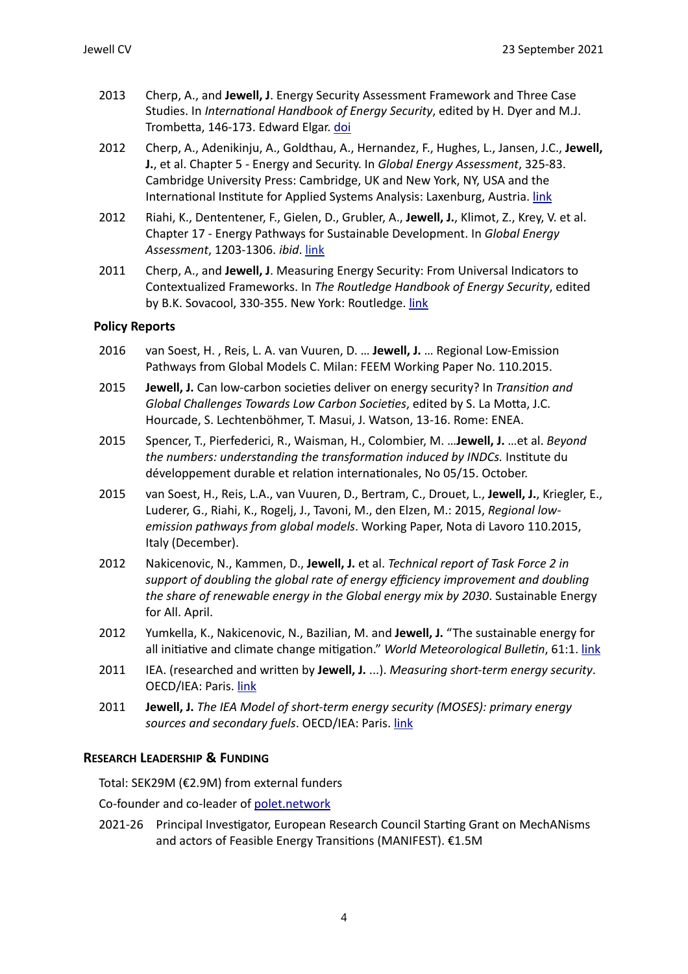- 2013 Cherp, A., and **Jewell, J.** Energy Security Assessment Framework and Three Case Studies. In *International Handbook of Energy Security*, edited by H. Dyer and M.J. Trombetta, 146-173. Edward Elgar. [doi](http://dx.doi.org/10.4337/9781781007907)
- 2012 Cherp, A., Adenikinju, A., Goldthau, A., Hernandez, F., Hughes, L., Jansen, J.C., **Jewell, J.**, et al. Chapter 5 - Energy and Security. In *Global Energy Assessment*, 325-83. Cambridge University Press: Cambridge, UK and New York, NY, USA and the International Institute for Applied Systems Analysis: Laxenburg, Austria. [link](http://www.iiasa.ac.at/web/home/research/Flagship-Projects/Global-Energy-Assessment/GEA_Chapter5_security_lowres.pdf)
- 2012 Riahi, K., Dententener, F., Gielen, D., Grubler, A., Jewell, J., Klimot, Z., Krey, V. et al. Chapter 17 - Energy Pathways for Sustainable Development. In *Global Energy Assessment*, 1203-1306. *ibid*. [link](http://www.iiasa.ac.at/web/home/research/Flagship-Projects/Global-Energy-Assessment/GEA_Chapter17_pathways_lowres.pdf)
- 2011 Cherp, A., and Jewell, J. Measuring Energy Security: From Universal Indicators to Contextualized Frameworks. In *The Routledge Handbook of Energy Security*, edited by B.K. Sovacool, 330-355. New York: Routledge. [link](http://www.routledge.com/books/details/9780415591171/)

# **Policy Reports**

- 2016 van Soest, H., Reis, L. A. van Vuuren, D. ... Jewell, J. ... Regional Low-Emission Pathways from Global Models C. Milan: FEEM Working Paper No. 110.2015.
- 2015 **Jewell, J.** Can low-carbon societies deliver on energy security? In *Transition and Global Challenges Towards Low Carbon Societies, edited by S. La Motta, J.C.* Hourcade, S. Lechtenböhmer, T. Masui, J. Watson, 13-16. Rome: ENEA.
- 2015 Spencer, T., Pierfederici, R., Waisman, H., Colombier, M. ...**Jewell, J.** ...et al. *Beyond the numbers: understanding the transformation induced by INDCs.* Institute du développement durable et relation internationales, No 05/15. October.
- 2015 van Soest, H., Reis, L.A., van Vuuren, D., Bertram, C., Drouet, L., Jewell, J., Kriegler, E., Luderer, G., Riahi, K., Rogelj, J., Tavoni, M., den Elzen, M.: 2015, *Regional lowemission pathways from global models*. Working Paper, Nota di Lavoro 110.2015, Italy (December).
- 2012 Nakicenovic, N., Kammen, D., **Jewell, J.** et al. *Technical report of Task Force 2 in* support of doubling the global rate of energy efficiency improvement and doubling *the share of renewable energy in the Global energy mix by 2030.* Sustainable Energy for All. April.
- 2012 Yumkella, K., Nakicenovic, N., Bazilian, M. and Jewell, J. "The sustainable energy for all initiative and climate change mitigation." World Meteorological Bulletin, 61:1. [link](http://www.wmo.int/pages/publications/bulletin_en/archive/61_1_en/61_1_yumkella_en.html)
- 2011 IEA. (researched and written by Jewell, J. ...). Measuring short-term energy security. OECD/IEA: Paris. link
- 2011 **Jewell, J.** The IEA Model of short-term energy security (MOSES): primary energy sources and secondary fuels. OECD/IEA: Paris. [link](http://www.iea.org/media/freepublications/2011/moses_paper.pdf)

## **RESEARCH LEADERSHIP & FUNDING**

Total: SEK29M (€2.9M) from external funders

Co-founder and co-leader of [polet.network](http://polet.network)

2021-26 Principal Investigator, European Research Council Starting Grant on MechANisms and actors of Feasible Energy Transitions (MANIFEST). €1.5M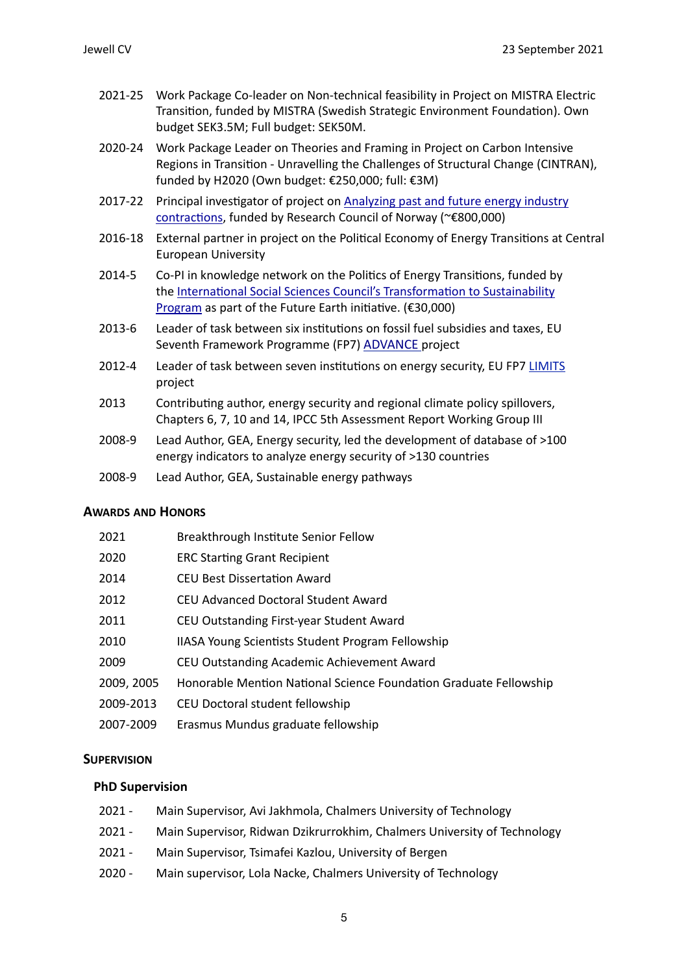- 2021-25 Work Package Co-leader on Non-technical feasibility in Project on MISTRA Electric Transition, funded by MISTRA (Swedish Strategic Environment Foundation). Own budget SEK3.5M; Full budget: SEK50M.
- 2020-24 Work Package Leader on Theories and Framing in Project on Carbon Intensive Regions in Transition - Unravelling the Challenges of Structural Change (CINTRAN), funded by H2020 (Own budget:  $€250,000$ ; full:  $€3M$ )
- 2017-22 Principal investigator of project on Analyzing past and future energy industry contractions, funded by Research Council of Norway (~€800,000)
- 2016-18 External partner in project on the Political Economy of Energy Transitions at Central European University
- 2014-5 Co-PI in knowledge network on the Politics of Energy Transitions, funded by the International Social Sciences Council's Transformation to Sustainability Program as part of the Future Earth initiative.  $(E30,000)$
- 2013-6 Leader of task between six institutions on fossil fuel subsidies and taxes, EU Seventh Framework Programme (FP7) ADVANCE project
- 2012-4 Leader of task between seven institutions on energy security, EU FP7 LIMITS project
- 2013 Contributing author, energy security and regional climate policy spillovers, Chapters 6, 7, 10 and 14, IPCC 5th Assessment Report Working Group III
- 2008-9 Lead Author, GEA, Energy security, led the development of database of >100 energy indicators to analyze energy security of >130 countries
- 2008-9 Lead Author, GEA, Sustainable energy pathways

## **AWARDS AND HONORS**

| 2021       | Breakthrough Institute Senior Fellow                              |
|------------|-------------------------------------------------------------------|
| 2020       | <b>ERC Starting Grant Recipient</b>                               |
| 2014       | <b>CEU Best Dissertation Award</b>                                |
| 2012       | CEU Advanced Doctoral Student Award                               |
| 2011       | CEU Outstanding First-year Student Award                          |
| 2010       | IIASA Young Scientists Student Program Fellowship                 |
| 2009       | CEU Outstanding Academic Achievement Award                        |
| 2009, 2005 | Honorable Mention National Science Foundation Graduate Fellowship |
| 2009-2013  | CEU Doctoral student fellowship                                   |
| 2007-2009  | Erasmus Mundus graduate fellowship                                |

# **SUPERVISION**

## **PhD Supervision**

- 2021 Main Supervisor, Avi Jakhmola, Chalmers University of Technology
- 2021 Main Supervisor, Ridwan Dzikrurrokhim, Chalmers University of Technology
- 2021 Main Supervisor, Tsimafei Kazlou, University of Bergen
- 2020 Main supervisor, Lola Nacke, Chalmers University of Technology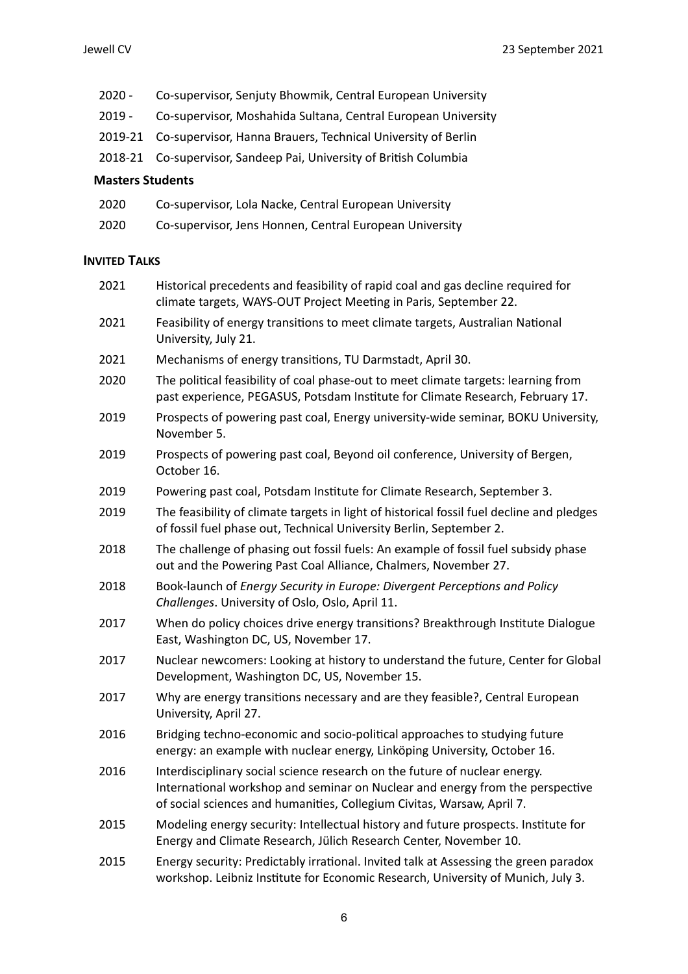- 2020 Co-supervisor, Senjuty Bhowmik, Central European University
- 2019 Co-supervisor, Moshahida Sultana, Central European University
- 2019-21 Co-supervisor, Hanna Brauers, Technical University of Berlin
- 2018-21 Co-supervisor, Sandeep Pai, University of British Columbia

#### **Masters Students**

- 2020 Co-supervisor, Lola Nacke, Central European University
- 2020 Co-supervisor, Jens Honnen, Central European University

#### **INVITED TALKS**

- 2021 Historical precedents and feasibility of rapid coal and gas decline required for climate targets, WAYS-OUT Project Meeting in Paris, September 22. 2021 Feasibility of energy transitions to meet climate targets, Australian National
- University, July 21.
- 2021 Mechanisms of energy transitions, TU Darmstadt, April 30.
- 2020 The political feasibility of coal phase-out to meet climate targets: learning from past experience, PEGASUS, Potsdam Institute for Climate Research, February 17.
- 2019 Prospects of powering past coal, Energy university-wide seminar, BOKU University, November 5.
- 2019 Prospects of powering past coal, Beyond oil conference, University of Bergen, October 16.
- 2019 Powering past coal, Potsdam Institute for Climate Research, September 3.
- 2019 The feasibility of climate targets in light of historical fossil fuel decline and pledges of fossil fuel phase out. Technical University Berlin, September 2.
- 2018 The challenge of phasing out fossil fuels: An example of fossil fuel subsidy phase out and the Powering Past Coal Alliance, Chalmers, November 27.
- 2018 Book-launch of *Energy Security in Europe: Divergent Perceptions and Policy Challenges. University of Oslo, Oslo, April 11.*
- 2017 When do policy choices drive energy transitions? Breakthrough Institute Dialogue East, Washington DC, US, November 17.
- 2017 Nuclear newcomers: Looking at history to understand the future, Center for Global Development, Washington DC, US, November 15.
- 2017 Why are energy transitions necessary and are they feasible?, Central European University, April 27.
- 2016 Bridging techno-economic and socio-political approaches to studying future energy: an example with nuclear energy, Linköping University, October 16.
- 2016 Interdisciplinary social science research on the future of nuclear energy. International workshop and seminar on Nuclear and energy from the perspective of social sciences and humanities, Collegium Civitas, Warsaw, April 7.
- 2015 Modeling energy security: Intellectual history and future prospects. Institute for Energy and Climate Research, Jülich Research Center, November 10.
- 2015 Energy security: Predictably irrational. Invited talk at Assessing the green paradox workshop. Leibniz Institute for Economic Research, University of Munich, July 3.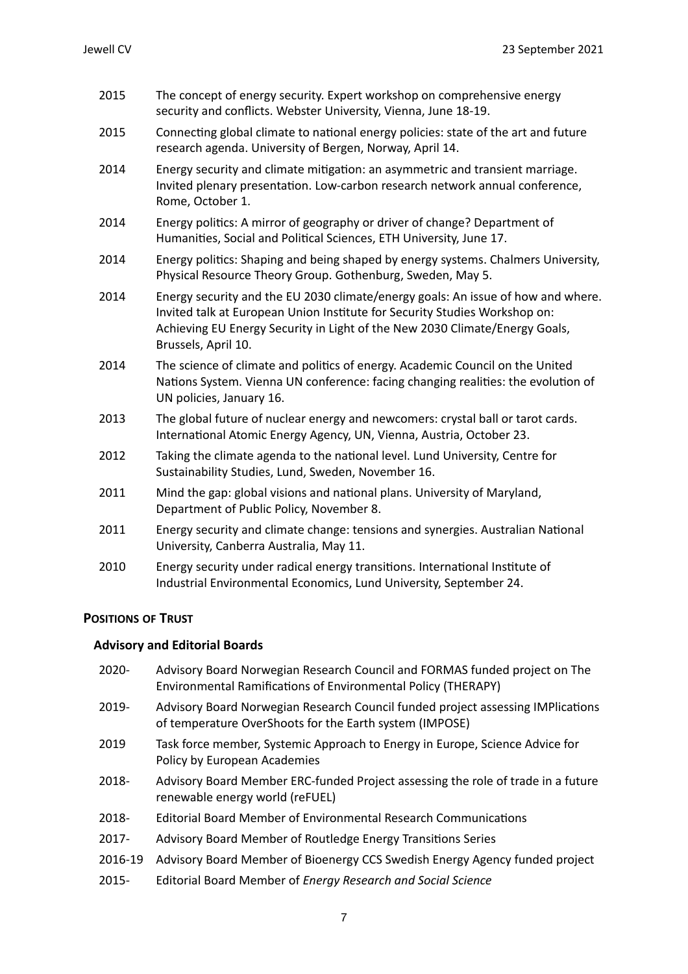- 2015 The concept of energy security. Expert workshop on comprehensive energy security and conflicts. Webster University, Vienna, June 18-19.
- 2015 Connecting global climate to national energy policies: state of the art and future research agenda. University of Bergen, Norway, April 14.
- 2014 Energy security and climate mitigation: an asymmetric and transient marriage. Invited plenary presentation. Low-carbon research network annual conference, Rome. October 1.
- 2014 Energy politics: A mirror of geography or driver of change? Department of Humanities, Social and Political Sciences, ETH University, June 17.
- 2014 Energy politics: Shaping and being shaped by energy systems. Chalmers University, Physical Resource Theory Group. Gothenburg, Sweden, May 5.
- 2014 Energy security and the EU 2030 climate/energy goals: An issue of how and where. Invited talk at European Union Institute for Security Studies Workshop on: Achieving EU Energy Security in Light of the New 2030 Climate/Energy Goals, Brussels, April 10.
- 2014 The science of climate and politics of energy. Academic Council on the United Nations System. Vienna UN conference: facing changing realities: the evolution of UN policies, January 16.
- 2013 The global future of nuclear energy and newcomers: crystal ball or tarot cards. International Atomic Energy Agency, UN, Vienna, Austria, October 23.
- 2012 Taking the climate agenda to the national level. Lund University, Centre for Sustainability Studies, Lund, Sweden, November 16.
- 2011 Mind the gap: global visions and national plans. University of Maryland, Department of Public Policy, November 8.
- 2011 Energy security and climate change: tensions and synergies. Australian National University, Canberra Australia, May 11.
- 2010 Energy security under radical energy transitions. International Institute of Industrial Environmental Economics, Lund University, September 24.

# **POSITIONS OF TRUST**

# **Advisory and Editorial Boards**

- 2020- Advisory Board Norwegian Research Council and FORMAS funded project on The Environmental Ramifications of Environmental Policy (THERAPY)
- 2019- Advisory Board Norwegian Research Council funded project assessing IMPlications of temperature OverShoots for the Earth system (IMPOSE)
- 2019 Task force member, Systemic Approach to Energy in Europe, Science Advice for Policy by European Academies
- 2018- Advisory Board Member ERC-funded Project assessing the role of trade in a future renewable energy world (reFUEL)
- 2018- Editorial Board Member of Environmental Research Communications
- 2017- Advisory Board Member of Routledge Energy Transitions Series
- 2016-19 Advisory Board Member of Bioenergy CCS Swedish Energy Agency funded project
- 2015- Editorial Board Member of *Energy Research and Social Science*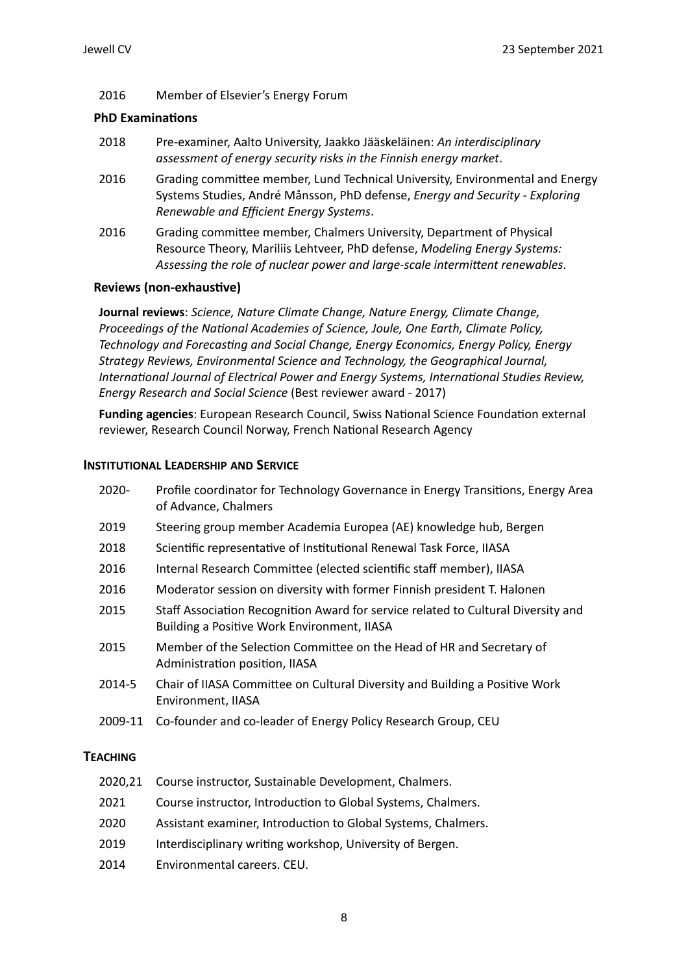# 2016 Member of Elsevier's Energy Forum

## **PhD Examinations**

- 2018 Pre-examiner, Aalto University, Jaakko Jääskeläinen: *An interdisciplinary assessment of energy security risks in the Finnish energy market*.
- 2016 Grading committee member, Lund Technical University, Environmental and Energy Systems Studies, André Månsson, PhD defense, *Energy and Security - Exploring Renewable and Efficient Energy Systems*.
- 2016 Grading committee member, Chalmers University, Department of Physical Resource Theory, Mariliis Lehtveer, PhD defense, *Modeling Energy Systems:* Assessing the role of nuclear power and large-scale intermittent renewables.

## **Reviews (non-exhaustive)**

**Journal reviews**: Science, Nature Climate Change, Nature Energy, Climate Change, *Proceedings of the National Academies of Science, Joule, One Earth, Climate Policy, Technology and Forecasting and Social Change, Energy Economics, Energy Policy, Energy Strategy Reviews, Environmental Science and Technology, the Geographical Journal, International Journal of Electrical Power and Energy Systems, International Studies Review, Energy Research and Social Science* (Best reviewer award - 2017)

Funding agencies: European Research Council, Swiss National Science Foundation external reviewer, Research Council Norway, French National Research Agency

#### **INSTITUTIONAL LEADERSHIP AND SERVICE**

| 2020-   | Profile coordinator for Technology Governance in Energy Transitions, Energy Area<br>of Advance, Chalmers                         |
|---------|----------------------------------------------------------------------------------------------------------------------------------|
| 2019    | Steering group member Academia Europea (AE) knowledge hub, Bergen                                                                |
| 2018    | Scientific representative of Institutional Renewal Task Force, IIASA                                                             |
| 2016    | Internal Research Committee (elected scientific staff member), IIASA                                                             |
| 2016    | Moderator session on diversity with former Finnish president T. Halonen                                                          |
| 2015    | Staff Association Recognition Award for service related to Cultural Diversity and<br>Building a Positive Work Environment, IIASA |
| 2015    | Member of the Selection Committee on the Head of HR and Secretary of<br>Administration position, IIASA                           |
| 2014-5  | Chair of IIASA Committee on Cultural Diversity and Building a Positive Work<br>Environment, IIASA                                |
| 2009-11 | Co-founder and co-leader of Energy Policy Research Group, CEU                                                                    |

# **TEACHING**

- 2020.21 Course instructor. Sustainable Development. Chalmers.
- 2021 Course instructor, Introduction to Global Systems, Chalmers.
- 2020 Assistant examiner, Introduction to Global Systems, Chalmers.
- 2019 Interdisciplinary writing workshop, University of Bergen.
- 2014 **Environmental careers.** CEU.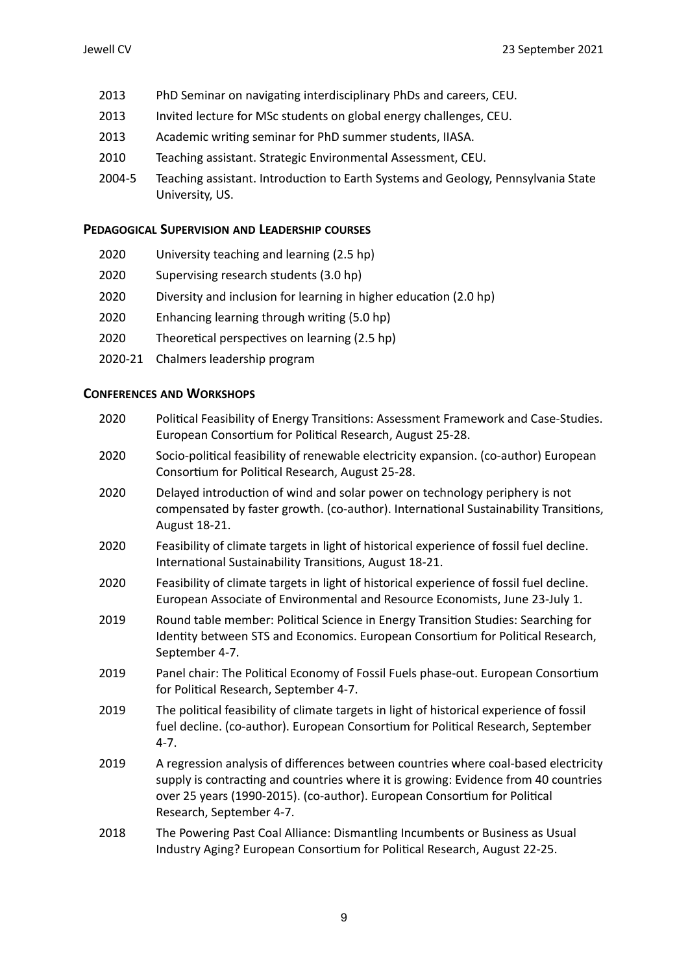- 2013 PhD Seminar on navigating interdisciplinary PhDs and careers, CEU.
- 2013 Invited lecture for MSc students on global energy challenges, CEU.
- 2013 Academic writing seminar for PhD summer students, IIASA.
- 2010 Teaching assistant. Strategic Environmental Assessment, CEU.
- 2004-5 Teaching assistant. Introduction to Earth Systems and Geology, Pennsylvania State University, US.

# **PEDAGOGICAL SUPERVISION AND LEADERSHIP COURSES**

- 2020 University teaching and learning (2.5 hp)
- 2020 Supervising research students (3.0 hp)
- 2020 Diversity and inclusion for learning in higher education (2.0 hp)
- 2020 Enhancing learning through writing (5.0 hp)
- 2020 Theoretical perspectives on learning (2.5 hp)
- 2020-21 Chalmers leadership program

# **CONFERENCES AND WORKSHOPS**

| 2020 | Political Feasibility of Energy Transitions: Assessment Framework and Case-Studies.<br>European Consortium for Political Research, August 25-28.                                                                                                                                    |
|------|-------------------------------------------------------------------------------------------------------------------------------------------------------------------------------------------------------------------------------------------------------------------------------------|
| 2020 | Socio-political feasibility of renewable electricity expansion. (co-author) European<br>Consortium for Political Research, August 25-28.                                                                                                                                            |
| 2020 | Delayed introduction of wind and solar power on technology periphery is not<br>compensated by faster growth. (co-author). International Sustainability Transitions,<br>August 18-21.                                                                                                |
| 2020 | Feasibility of climate targets in light of historical experience of fossil fuel decline.<br>International Sustainability Transitions, August 18-21.                                                                                                                                 |
| 2020 | Feasibility of climate targets in light of historical experience of fossil fuel decline.<br>European Associate of Environmental and Resource Economists, June 23-July 1.                                                                                                            |
| 2019 | Round table member: Political Science in Energy Transition Studies: Searching for<br>Identity between STS and Economics. European Consortium for Political Research,<br>September 4-7.                                                                                              |
| 2019 | Panel chair: The Political Economy of Fossil Fuels phase-out. European Consortium<br>for Political Research, September 4-7.                                                                                                                                                         |
| 2019 | The political feasibility of climate targets in light of historical experience of fossil<br>fuel decline. (co-author). European Consortium for Political Research, September<br>$4 - 7.$                                                                                            |
| 2019 | A regression analysis of differences between countries where coal-based electricity<br>supply is contracting and countries where it is growing: Evidence from 40 countries<br>over 25 years (1990-2015). (co-author). European Consortium for Political<br>Research, September 4-7. |
| 2018 | The Powering Past Coal Alliance: Dismantling Incumbents or Business as Usual<br>Industry Aging? European Consortium for Political Research, August 22-25.                                                                                                                           |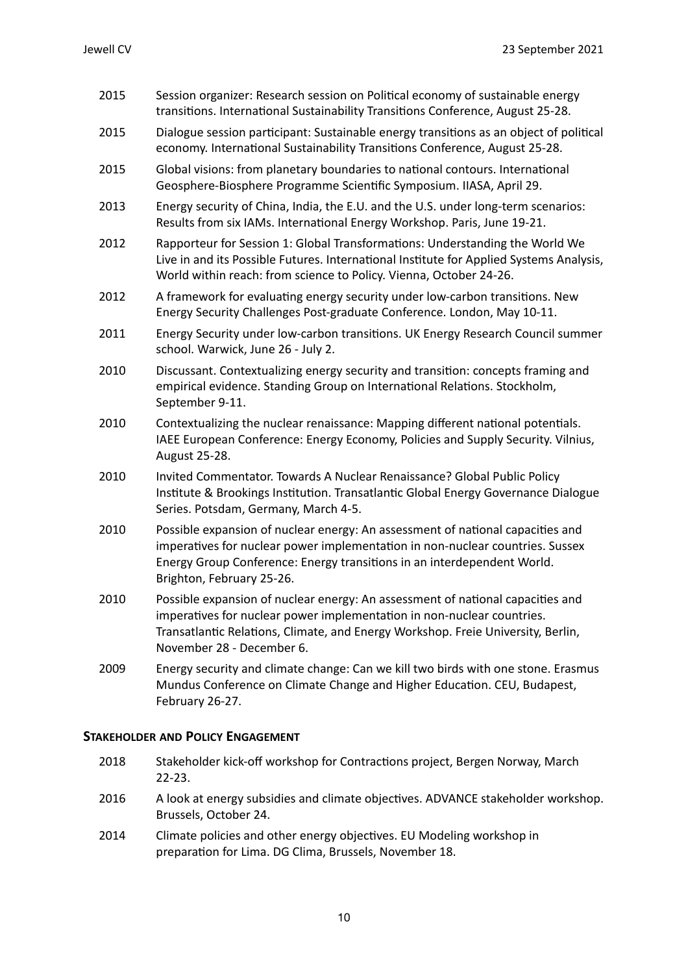| 2015 | Session organizer: Research session on Political economy of sustainable energy<br>transitions. International Sustainability Transitions Conference, August 25-28.                                                                                                         |
|------|---------------------------------------------------------------------------------------------------------------------------------------------------------------------------------------------------------------------------------------------------------------------------|
| 2015 | Dialogue session participant: Sustainable energy transitions as an object of political<br>economy. International Sustainability Transitions Conference, August 25-28.                                                                                                     |
| 2015 | Global visions: from planetary boundaries to national contours. International<br>Geosphere-Biosphere Programme Scientific Symposium. IIASA, April 29.                                                                                                                     |
| 2013 | Energy security of China, India, the E.U. and the U.S. under long-term scenarios:<br>Results from six IAMs. International Energy Workshop. Paris, June 19-21.                                                                                                             |
| 2012 | Rapporteur for Session 1: Global Transformations: Understanding the World We<br>Live in and its Possible Futures. International Institute for Applied Systems Analysis,<br>World within reach: from science to Policy. Vienna, October 24-26.                             |
| 2012 | A framework for evaluating energy security under low-carbon transitions. New<br>Energy Security Challenges Post-graduate Conference. London, May 10-11.                                                                                                                   |
| 2011 | Energy Security under low-carbon transitions. UK Energy Research Council summer<br>school. Warwick, June 26 - July 2.                                                                                                                                                     |
| 2010 | Discussant. Contextualizing energy security and transition: concepts framing and<br>empirical evidence. Standing Group on International Relations. Stockholm,<br>September 9-11.                                                                                          |
| 2010 | Contextualizing the nuclear renaissance: Mapping different national potentials.<br>IAEE European Conference: Energy Economy, Policies and Supply Security. Vilnius,<br>August 25-28.                                                                                      |
| 2010 | Invited Commentator. Towards A Nuclear Renaissance? Global Public Policy<br>Institute & Brookings Institution. Transatlantic Global Energy Governance Dialogue<br>Series. Potsdam, Germany, March 4-5.                                                                    |
| 2010 | Possible expansion of nuclear energy: An assessment of national capacities and<br>imperatives for nuclear power implementation in non-nuclear countries. Sussex<br>Energy Group Conference: Energy transitions in an interdependent World.<br>Brighton, February 25-26.   |
| 2010 | Possible expansion of nuclear energy: An assessment of national capacities and<br>imperatives for nuclear power implementation in non-nuclear countries.<br>Transatlantic Relations, Climate, and Energy Workshop. Freie University, Berlin,<br>November 28 - December 6. |
| 2009 | Energy security and climate change: Can we kill two birds with one stone. Erasmus<br>Mundus Conference on Climate Change and Higher Education. CEU, Budapest,<br>February 26-27.                                                                                          |
|      | <b>STAKEHOLDER AND POLICY ENGAGEMENT</b>                                                                                                                                                                                                                                  |
| 2018 | Stakeholder kick-off workshop for Contractions project, Bergen Norway, March                                                                                                                                                                                              |

- 22-23. 2016 A look at energy subsidies and climate objectives. ADVANCE stakeholder workshop. Brussels, October 24.
- 2014 Climate policies and other energy objectives. EU Modeling workshop in preparation for Lima. DG Clima, Brussels, November 18.